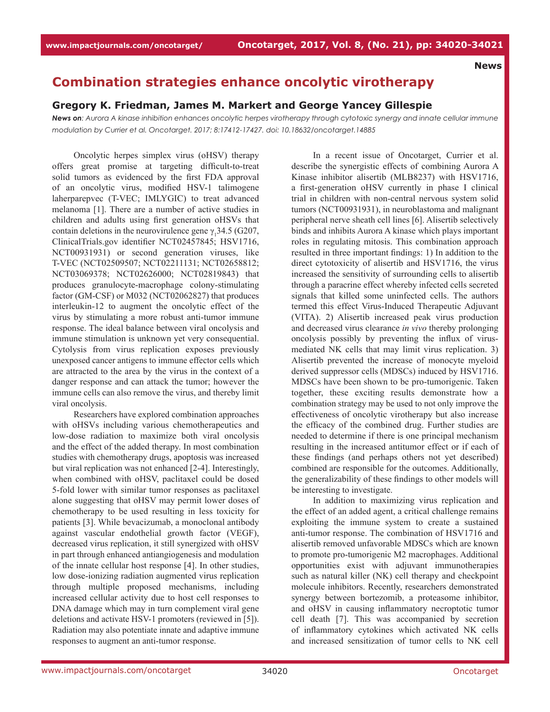## **Combination strategies enhance oncolytic virotherapy**

## **Gregory K. Friedman, James M. Markert and George Yancey Gillespie**

*News on: Aurora A kinase inhibition enhances oncolytic herpes virotherapy through cytotoxic synergy and innate cellular immune modulation by Currier et al. Oncotarget. 2017; 8:17412-17427. doi: 10.18632/oncotarget.14885*

Oncolytic herpes simplex virus (oHSV) therapy offers great promise at targeting difficult-to-treat solid tumors as evidenced by the first FDA approval of an oncolytic virus, modified HSV-1 talimogene laherparepvec (T-VEC; IMLYGIC) to treat advanced melanoma [1]. There are a number of active studies in children and adults using first generation oHSVs that contain deletions in the neurovirulence gene  $\gamma_1$ 34.5 (G207, ClinicalTrials.gov identifier NCT02457845; HSV1716, NCT00931931) or second generation viruses, like T-VEC (NCT02509507; NCT02211131; NCT02658812; NCT03069378; NCT02626000; NCT02819843) that produces granulocyte-macrophage colony-stimulating factor (GM-CSF) or M032 (NCT02062827) that produces interleukin-12 to augment the oncolytic effect of the virus by stimulating a more robust anti-tumor immune response. The ideal balance between viral oncolysis and immune stimulation is unknown yet very consequential. Cytolysis from virus replication exposes previously unexposed cancer antigens to immune effector cells which are attracted to the area by the virus in the context of a danger response and can attack the tumor; however the immune cells can also remove the virus, and thereby limit viral oncolysis.

Researchers have explored combination approaches with oHSVs including various chemotherapeutics and low-dose radiation to maximize both viral oncolysis and the effect of the added therapy. In most combination studies with chemotherapy drugs, apoptosis was increased but viral replication was not enhanced [2-4]. Interestingly, when combined with oHSV, paclitaxel could be dosed 5-fold lower with similar tumor responses as paclitaxel alone suggesting that oHSV may permit lower doses of chemotherapy to be used resulting in less toxicity for patients [3]. While bevacizumab, a monoclonal antibody against vascular endothelial growth factor (VEGF), decreased virus replication, it still synergized with oHSV in part through enhanced antiangiogenesis and modulation of the innate cellular host response [4]. In other studies, low dose-ionizing radiation augmented virus replication through multiple proposed mechanisms, including increased cellular activity due to host cell responses to DNA damage which may in turn complement viral gene deletions and activate HSV-1 promoters (reviewed in [5]). Radiation may also potentiate innate and adaptive immune responses to augment an anti-tumor response.

In a recent issue of Oncotarget, Currier et al. describe the synergistic effects of combining Aurora A Kinase inhibitor alisertib (MLB8237) with HSV1716, a first-generation oHSV currently in phase I clinical trial in children with non-central nervous system solid tumors (NCT00931931), in neuroblastoma and malignant peripheral nerve sheath cell lines [6]. Alisertib selectively binds and inhibits Aurora A kinase which plays important roles in regulating mitosis. This combination approach resulted in three important findings: 1) In addition to the direct cytotoxicity of alisertib and HSV1716, the virus increased the sensitivity of surrounding cells to alisertib through a paracrine effect whereby infected cells secreted signals that killed some uninfected cells. The authors termed this effect Virus-Induced Therapeutic Adjuvant (VITA). 2) Alisertib increased peak virus production and decreased virus clearance *in vivo* thereby prolonging oncolysis possibly by preventing the influx of virusmediated NK cells that may limit virus replication. 3) Alisertib prevented the increase of monocyte myeloid derived suppressor cells (MDSCs) induced by HSV1716. MDSCs have been shown to be pro-tumorigenic. Taken together, these exciting results demonstrate how a combination strategy may be used to not only improve the effectiveness of oncolytic virotherapy but also increase the efficacy of the combined drug. Further studies are needed to determine if there is one principal mechanism resulting in the increased antitumor effect or if each of these findings (and perhaps others not yet described) combined are responsible for the outcomes. Additionally, the generalizability of these findings to other models will be interesting to investigate.

In addition to maximizing virus replication and the effect of an added agent, a critical challenge remains exploiting the immune system to create a sustained anti-tumor response. The combination of HSV1716 and alisertib removed unfavorable MDSCs which are known to promote pro-tumorigenic M2 macrophages. Additional opportunities exist with adjuvant immunotherapies such as natural killer (NK) cell therapy and checkpoint molecule inhibitors. Recently, researchers demonstrated synergy between bortezomib, a proteasome inhibitor, and oHSV in causing inflammatory necroptotic tumor cell death [7]. This was accompanied by secretion of inflammatory cytokines which activated NK cells and increased sensitization of tumor cells to NK cell